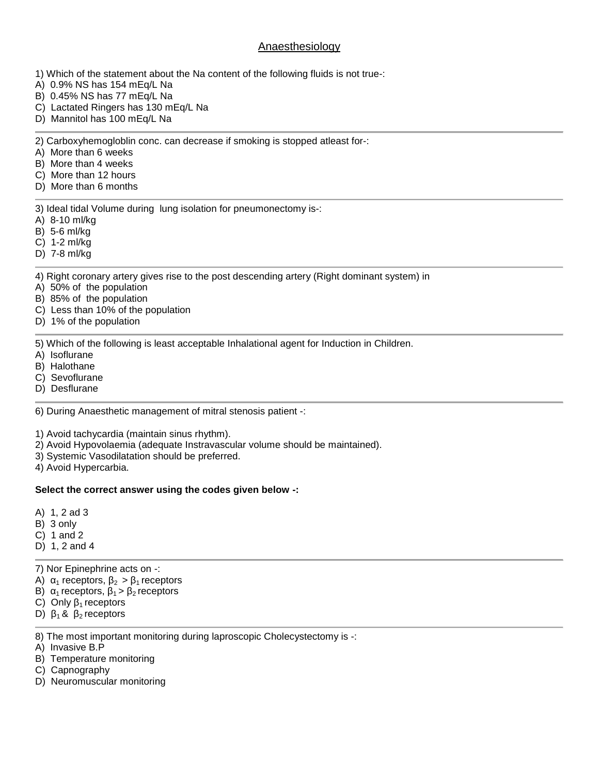# Anaesthesiology

- 1) Which of the statement about the Na content of the following fluids is not true-:
- A) 0.9% NS has 154 mEq/L Na
- B) 0.45% NS has 77 mEq/L Na
- C) Lactated Ringers has 130 mEq/L Na
- D) Mannitol has 100 mEq/L Na

2) Carboxyhemogloblin conc. can decrease if smoking is stopped atleast for-:

- A) More than 6 weeks
- B) More than 4 weeks
- C) More than 12 hours
- D) More than 6 months

3) Ideal tidal Volume during lung isolation for pneumonectomy is-:

- A) 8-10 ml/kg
- B) 5-6 ml/kg
- C) 1-2 ml/kg
- D) 7-8 ml/kg

4) Right coronary artery gives rise to the post descending artery (Right dominant system) in

- A) 50% of the population
- B) 85% of the population
- C) Less than 10% of the population
- D) 1% of the population

5) Which of the following is least acceptable Inhalational agent for Induction in Children.

- A) Isoflurane
- B) Halothane
- C) Sevoflurane
- D) Desflurane

6) During Anaesthetic management of mitral stenosis patient -:

1) Avoid tachycardia (maintain sinus rhythm).

- 2) Avoid Hypovolaemia (adequate Instravascular volume should be maintained).
- 3) Systemic Vasodilatation should be preferred.
- 4) Avoid Hypercarbia.

# **Select the correct answer using the codes given below -:**

- A) 1, 2 ad 3
- B) 3 only
- C) 1 and 2
- D) 1, 2 and 4

7) Nor Epinephrine acts on -:

- A)  $_1$  receptors,  $_2$  >  $_1$  receptors
- B)  $_1$  receptors,  $_1$  >  $_2$  receptors
- C) Only  $_1$  receptors
- D)  $18$  2 receptors

8) The most important monitoring during laproscopic Cholecystectomy is -:

- A) Invasive B.P
- B) Temperature monitoring
- C) Capnography
- D) Neuromuscular monitoring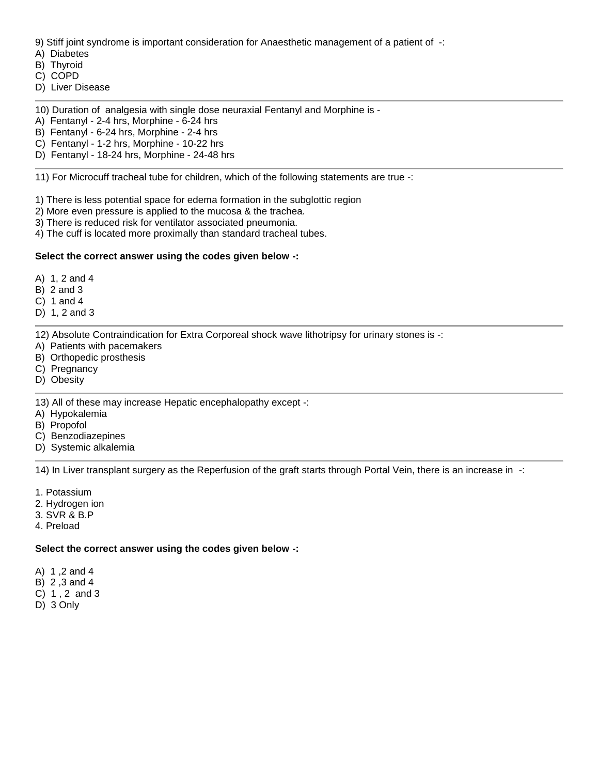9) Stiff joint syndrome is important consideration for Anaesthetic management of a patient of -:

A) Diabetes

B) Thyroid

C) COPD

D) Liver Disease

10) Duration of analgesia with single dose neuraxial Fentanyl and Morphine is -

A) Fentanyl - 2-4 hrs, Morphine - 6-24 hrs

B) Fentanyl - 6-24 hrs, Morphine - 2-4 hrs

C) Fentanyl - 1-2 hrs, Morphine - 10-22 hrs

D) Fentanyl - 18-24 hrs, Morphine - 24-48 hrs

11) For Microcuff tracheal tube for children, which of the following statements are true -:

1) There is less potential space for edema formation in the subglottic region

- 2) More even pressure is applied to the mucosa & the trachea.
- 3) There is reduced risk for ventilator associated pneumonia.
- 4) The cuff is located more proximally than standard tracheal tubes.

# **Select the correct answer using the codes given below -:**

A) 1, 2 and 4

B) 2 and 3

C) 1 and 4

D) 1, 2 and 3

12) Absolute Contraindication for Extra Corporeal shock wave lithotripsy for urinary stones is -:

- A) Patients with pacemakers
- B) Orthopedic prosthesis
- C) Pregnancy
- D) Obesity

13) All of these may increase Hepatic encephalopathy except -:

- A) Hypokalemia
- B) Propofol
- C) Benzodiazepines
- D) Systemic alkalemia

14) In Liver transplant surgery as the Reperfusion of the graft starts through Portal Vein, there is an increase in -:

- 1. Potassium
- 2. Hydrogen ion
- 3. SVR & B.P
- 4. Preload

# **Select the correct answer using the codes given below -:**

A) 1 ,2 and 4

- B) 2 ,3 and 4
- C) 1 , 2 and 3
- D) 3 Only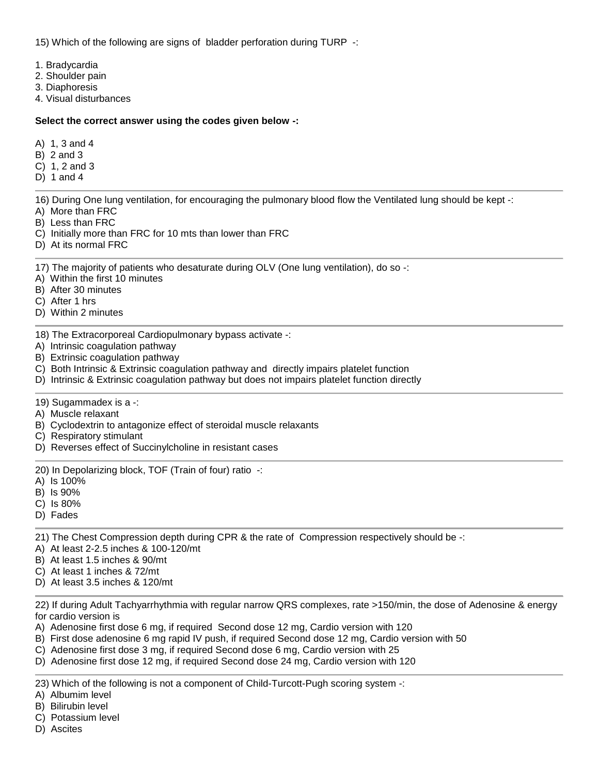15) Which of the following are signs of bladder perforation during TURP -:

- 1. Bradycardia
- 2. Shoulder pain
- 3. Diaphoresis
- 4. Visual disturbances

# **Select the correct answer using the codes given below -:**

- A) 1, 3 and 4
- B) 2 and 3
- C) 1, 2 and 3
- D) 1 and 4

16) During One lung ventilation, for encouraging the pulmonary blood flow the Ventilated lung should be kept -:

- A) More than FRC
- B) Less than FRC
- C) Initially more than FRC for 10 mts than lower than FRC
- D) At its normal FRC

17) The majority of patients who desaturate during OLV (One lung ventilation), do so -:

- A) Within the first 10 minutes
- B) After 30 minutes
- C) After 1 hrs
- D) Within 2 minutes
- 18) The Extracorporeal Cardiopulmonary bypass activate -:
- A) Intrinsic coagulation pathway
- B) Extrinsic coagulation pathway
- C) Both Intrinsic & Extrinsic coagulation pathway and directly impairs platelet function
- D) Intrinsic & Extrinsic coagulation pathway but does not impairs platelet function directly
- 19) Sugammadex is a -:
- A) Muscle relaxant
- B) Cyclodextrin to antagonize effect of steroidal muscle relaxants
- C) Respiratory stimulant
- D) Reverses effect of Succinylcholine in resistant cases
- 20) In Depolarizing block, TOF (Train of four) ratio -:
- A) Is 100%
- B) Is 90%
- C) Is 80%
- D) Fades

21) The Chest Compression depth during CPR & the rate of Compression respectively should be -:

- A) At least 2-2.5 inches & 100-120/mt
- B) At least 1.5 inches & 90/mt
- C) At least 1 inches & 72/mt
- D) At least 3.5 inches & 120/mt

22) If during Adult Tachyarrhythmia with regular narrow QRS complexes, rate >150/min, the dose of Adenosine & energy for cardio version is

- A) Adenosine first dose 6 mg, if required Second dose 12 mg, Cardio version with 120
- B) First dose adenosine 6 mg rapid IV push, if required Second dose 12 mg, Cardio version with 50
- C) Adenosine first dose 3 mg, if required Second dose 6 mg, Cardio version with 25
- D) Adenosine first dose 12 mg, if required Second dose 24 mg, Cardio version with 120

23) Which of the following is not a component of Child-Turcott-Pugh scoring system -:

- A) Albumim level
- B) Bilirubin level
- C) Potassium level
- D) Ascites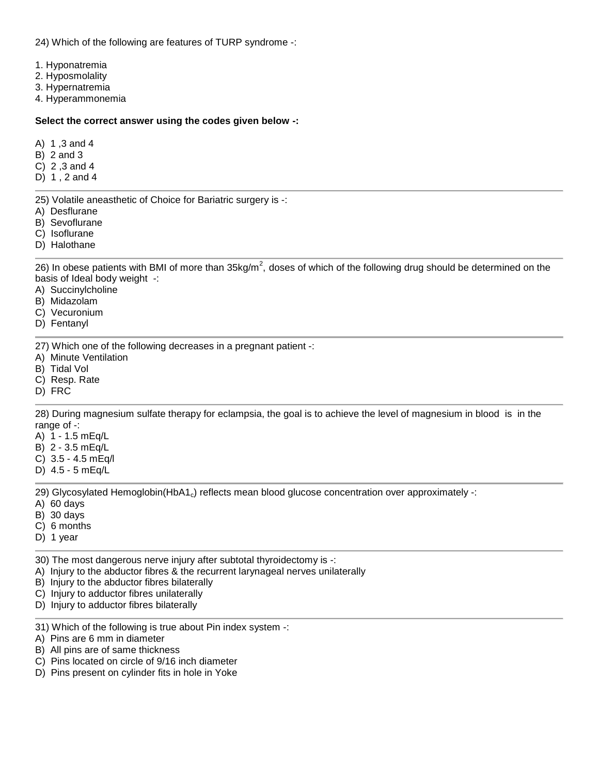24) Which of the following are features of TURP syndrome -:

- 1. Hyponatremia
- 2. Hyposmolality
- 3. Hypernatremia
- 4. Hyperammonemia

#### **Select the correct answer using the codes given below -:**

- A) 1 ,3 and 4
- B) 2 and 3
- C) 2 ,3 and 4
- D) 1 , 2 and 4

25) Volatile aneasthetic of Choice for Bariatric surgery is -:

- A) Desflurane
- B) Sevoflurane
- C) Isoflurane
- D) Halothane

26) In obese patients with BMI of more than 35kg/m $^2$ , doses of which of the following drug should be determined on the basis of Ideal body weight -:

- A) Succinylcholine
- B) Midazolam
- C) Vecuronium
- D) Fentanyl

27) Which one of the following decreases in a pregnant patient -:

- A) Minute Ventilation
- B) Tidal Vol
- C) Resp. Rate
- D) FRC

28) During magnesium sulfate therapy for eclampsia, the goal is to achieve the level of magnesium in blood is in the range of -:

- A) 1 1.5 mEq/L
- B) 2 3.5 mEq/L
- C) 3.5 4.5 mEq/l
- D) 4.5 5 mEq/L

29) Glycosylated Hemoglobin(HbA1<sub>c</sub>) reflects mean blood glucose concentration over approximately -:

- A) 60 days
- B) 30 days
- C) 6 months
- D) 1 year

30) The most dangerous nerve injury after subtotal thyroidectomy is -:

- A) Injury to the abductor fibres & the recurrent larynageal nerves unilaterally
- B) Injury to the abductor fibres bilaterally

C) Injury to adductor fibres unilaterally

- D) Injury to adductor fibres bilaterally
- 31) Which of the following is true about Pin index system -:
- A) Pins are 6 mm in diameter
- B) All pins are of same thickness
- C) Pins located on circle of 9/16 inch diameter
- D) Pins present on cylinder fits in hole in Yoke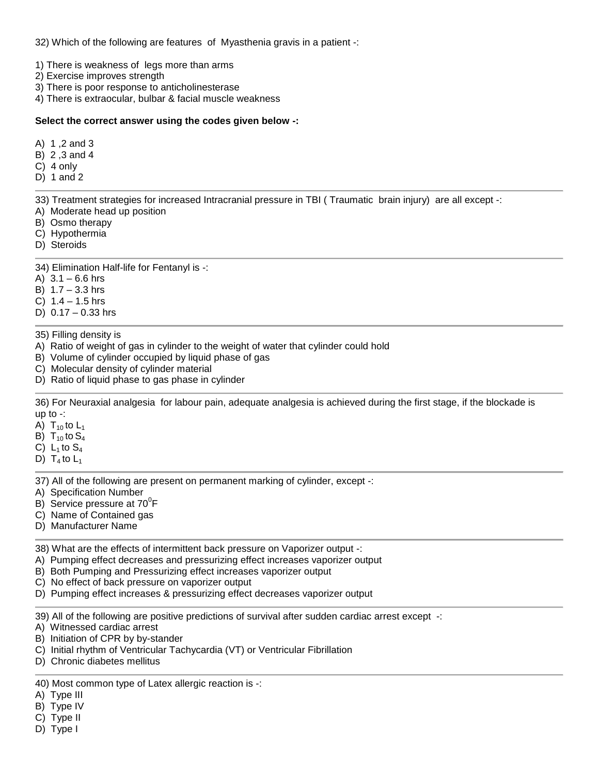32) Which of the following are features of Myasthenia gravis in a patient -:

1) There is weakness of legs more than arms

- 2) Exercise improves strength
- 3) There is poor response to anticholinesterase
- 4) There is extraocular, bulbar & facial muscle weakness

## **Select the correct answer using the codes given below -:**

- A) 1 ,2 and 3
- B) 2 ,3 and 4
- C) 4 only
- D) 1 and 2

33) Treatment strategies for increased Intracranial pressure in TBI ( Traumatic brain injury) are all except -:

- A) Moderate head up position
- B) Osmo therapy
- C) Hypothermia
- D) Steroids

34) Elimination Half-life for Fentanyl is -:

- A)  $3.1 6.6$  hrs
- B) 1.7 3.3 hrs
- C) 1.4 1.5 hrs
- D)  $0.17 0.33$  hrs

## 35) Filling density is

- A) Ratio of weight of gas in cylinder to the weight of water that cylinder could hold
- B) Volume of cylinder occupied by liquid phase of gas
- C) Molecular density of cylinder material
- D) Ratio of liquid phase to gas phase in cylinder

36) For Neuraxial analgesia for labour pain, adequate analgesia is achieved during the first stage, if the blockade is up to -:

- A)  $T_{10}$  to  $L_1$
- B)  $T_{10}$  to  $S_4$
- C)  $L_1$  to  $S_4$
- D)  $T_4$  to  $L_1$

37) All of the following are present on permanent marking of cylinder, except -:

- A) Specification Number
- B) Service pressure at  $70^{\circ}$ F
- C) Name of Contained gas
- D) Manufacturer Name

38) What are the effects of intermittent back pressure on Vaporizer output -:

- A) Pumping effect decreases and pressurizing effect increases vaporizer output
- B) Both Pumping and Pressurizing effect increases vaporizer output
- C) No effect of back pressure on vaporizer output
- D) Pumping effect increases & pressurizing effect decreases vaporizer output

39) All of the following are positive predictions of survival after sudden cardiac arrest except -:

A) Witnessed cardiac arrest

- B) Initiation of CPR by by-stander
- C) Initial rhythm of Ventricular Tachycardia (VT) or Ventricular Fibrillation
- D) Chronic diabetes mellitus

40) Most common type of Latex allergic reaction is -:

- A) Type III
- B) Type IV
- C) Type II
- D) Type I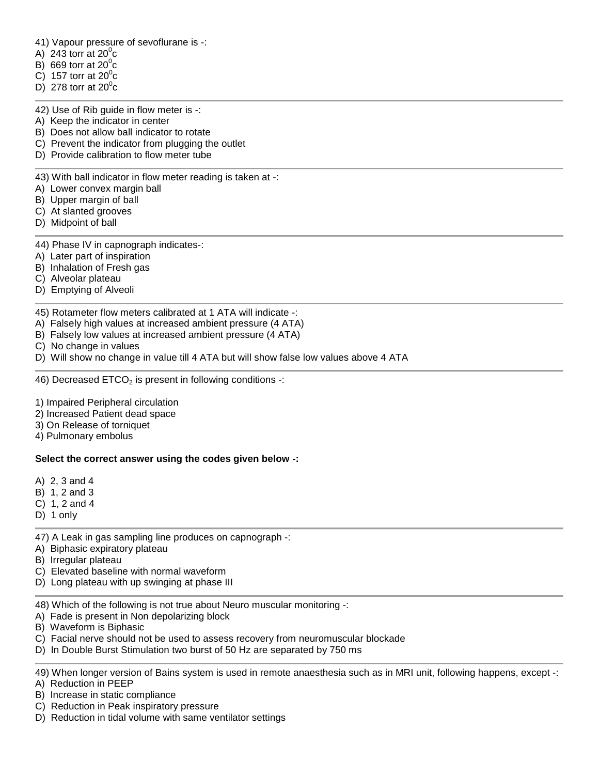41) Vapour pressure of sevoflurane is -:

- A) 243 torr at  $20^{\circ}$ c
- B) 669 torr at  $20^{\circ}$ c
- C) 157 torr at  $20^{\circ}$ c
- D) 278 torr at  $20^{\circ}$ c

42) Use of Rib guide in flow meter is -:

- A) Keep the indicator in center
- B) Does not allow ball indicator to rotate
- C) Prevent the indicator from plugging the outlet
- D) Provide calibration to flow meter tube

43) With ball indicator in flow meter reading is taken at -:

- A) Lower convex margin ball
- B) Upper margin of ball
- C) At slanted grooves
- D) Midpoint of ball
- 44) Phase IV in capnograph indicates-:
- A) Later part of inspiration
- B) Inhalation of Fresh gas
- C) Alveolar plateau
- D) Emptying of Alveoli

45) Rotameter flow meters calibrated at 1 ATA will indicate -:

- A) Falsely high values at increased ambient pressure (4 ATA)
- B) Falsely low values at increased ambient pressure (4 ATA)
- C) No change in values

D) Will show no change in value till 4 ATA but will show false low values above 4 ATA

46) Decreased ETCO<sub>2</sub> is present in following conditions -:

- 1) Impaired Peripheral circulation
- 2) Increased Patient dead space
- 3) On Release of torniquet
- 4) Pulmonary embolus

#### **Select the correct answer using the codes given below -:**

- A) 2, 3 and 4
- B) 1, 2 and 3
- C) 1, 2 and 4
- D) 1 only

47) A Leak in gas sampling line produces on capnograph -:

- A) Biphasic expiratory plateau
- B) Irregular plateau
- C) Elevated baseline with normal waveform
- D) Long plateau with up swinging at phase III

48) Which of the following is not true about Neuro muscular monitoring -:

- A) Fade is present in Non depolarizing block
- B) Waveform is Biphasic
- C) Facial nerve should not be used to assess recovery from neuromuscular blockade
- D) In Double Burst Stimulation two burst of 50 Hz are separated by 750 ms

49) When longer version of Bains system is used in remote anaesthesia such as in MRI unit, following happens, except -:

A) Reduction in PEEP

- B) Increase in static compliance
- C) Reduction in Peak inspiratory pressure
- D) Reduction in tidal volume with same ventilator settings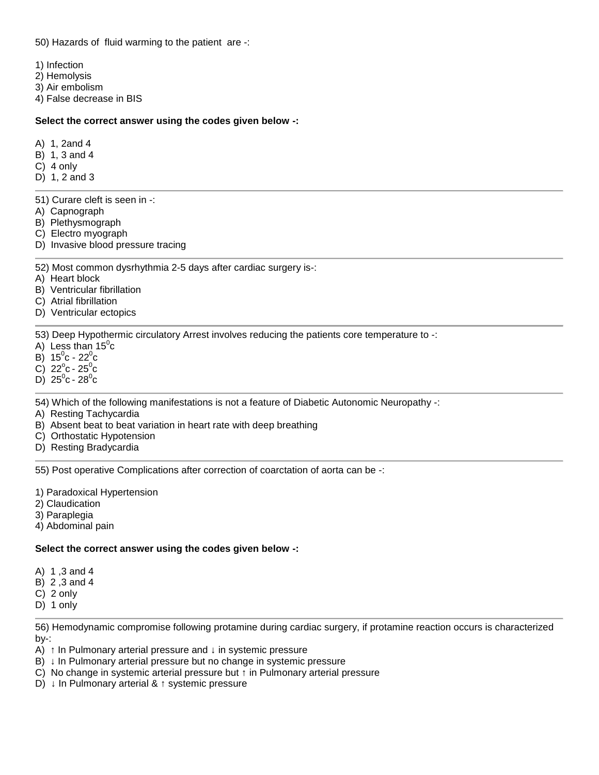50) Hazards of fluid warming to the patient are -:

1) Infection

- 2) Hemolysis
- 3) Air embolism
- 4) False decrease in BIS

## **Select the correct answer using the codes given below -:**

- A) 1, 2and 4
- B) 1, 3 and 4
- C) 4 only
- D) 1, 2 and 3
- 51) Curare cleft is seen in -:
- A) Capnograph
- B) Plethysmograph
- C) Electro myograph
- D) Invasive blood pressure tracing

## 52) Most common dysrhythmia 2-5 days after cardiac surgery is-:

- A) Heart block
- B) Ventricular fibrillation
- C) Atrial fibrillation
- D) Ventricular ectopics

53) Deep Hypothermic circulatory Arrest involves reducing the patients core temperature to -:

- A) Less than  $15^{\circ}c$
- B)  $15^{\circ}$ c 22 $^{\circ}$ c
- C)  $22^{\circ}c 25^{\circ}c$
- D)  $25^0c 28^0c$

54) Which of the following manifestations is not a feature of Diabetic Autonomic Neuropathy -:

- A) Resting Tachycardia
- B) Absent beat to beat variation in heart rate with deep breathing
- C) Orthostatic Hypotension
- D) Resting Bradycardia

55) Post operative Complications after correction of coarctation of aorta can be -:

- 1) Paradoxical Hypertension
- 2) Claudication
- 3) Paraplegia
- 4) Abdominal pain

# **Select the correct answer using the codes given below -:**

- A) 1 ,3 and 4
- B) 2 ,3 and 4
- C) 2 only
- D) 1 only

56) Hemodynamic compromise following protamine during cardiac surgery, if protamine reaction occurs is characterized by-:

- A) In Pulmonary arterial pressure and in systemic pressure
- B) In Pulmonary arterial pressure but no change in systemic pressure
- C) No change in systemic arterial pressure but in Pulmonary arterial pressure
- D) In Pulmonary arterial & systemic pressure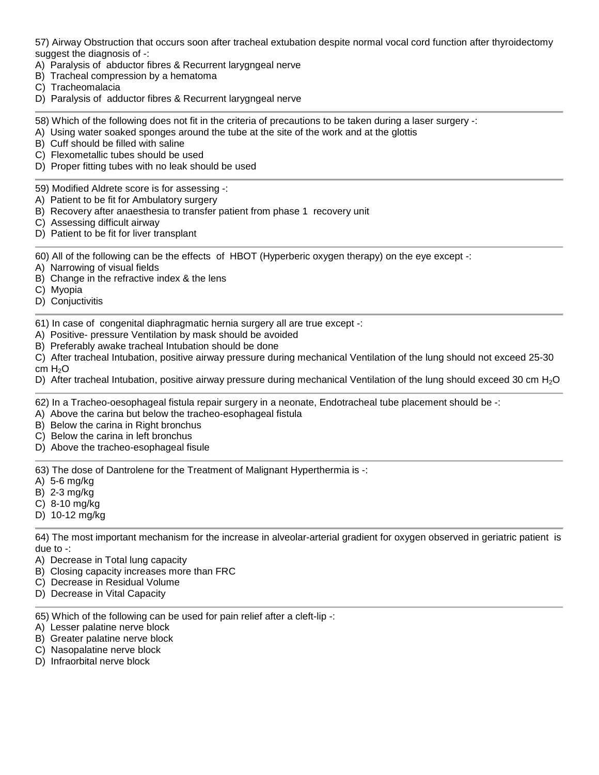57) Airway Obstruction that occurs soon after tracheal extubation despite normal vocal cord function after thyroidectomy suggest the diagnosis of -:

- A) Paralysis of abductor fibres & Recurrent larygngeal nerve
- B) Tracheal compression by a hematoma
- C) Tracheomalacia
- D) Paralysis of adductor fibres & Recurrent larygngeal nerve

58) Which of the following does not fit in the criteria of precautions to be taken during a laser surgery -:

- A) Using water soaked sponges around the tube at the site of the work and at the glottis
- B) Cuff should be filled with saline
- C) Flexometallic tubes should be used
- D) Proper fitting tubes with no leak should be used
- 59) Modified Aldrete score is for assessing -:
- A) Patient to be fit for Ambulatory surgery
- B) Recovery after anaesthesia to transfer patient from phase 1 recovery unit
- C) Assessing difficult airway
- D) Patient to be fit for liver transplant

60) All of the following can be the effects of HBOT (Hyperberic oxygen therapy) on the eye except -:

- A) Narrowing of visual fields
- B) Change in the refractive index & the lens
- C) Myopia
- D) Conjuctivitis

61) In case of congenital diaphragmatic hernia surgery all are true except -:

- A) Positive- pressure Ventilation by mask should be avoided
- B) Preferably awake tracheal Intubation should be done
- C) After tracheal Intubation, positive airway pressure during mechanical Ventilation of the lung should not exceed 25-30 cm H<sub>2</sub>O
- D) After tracheal Intubation, positive airway pressure during mechanical Ventilation of the lung should exceed 30 cm H<sub>2</sub>O

62) In a Tracheo-oesophageal fistula repair surgery in a neonate, Endotracheal tube placement should be -:

- A) Above the carina but below the tracheo-esophageal fistula
- B) Below the carina in Right bronchus
- C) Below the carina in left bronchus
- D) Above the tracheo-esophageal fisule

63) The dose of Dantrolene for the Treatment of Malignant Hyperthermia is -:

- A) 5-6 mg/kg
- B) 2-3 mg/kg
- C) 8-10 mg/kg
- D) 10-12 mg/kg

64) The most important mechanism for the increase in alveolar-arterial gradient for oxygen observed in geriatric patient is due to -:

- A) Decrease in Total lung capacity
- B) Closing capacity increases more than FRC
- C) Decrease in Residual Volume
- D) Decrease in Vital Capacity

65) Which of the following can be used for pain relief after a cleft-lip -:

- A) Lesser palatine nerve block
- B) Greater palatine nerve block
- C) Nasopalatine nerve block
- D) Infraorbital nerve block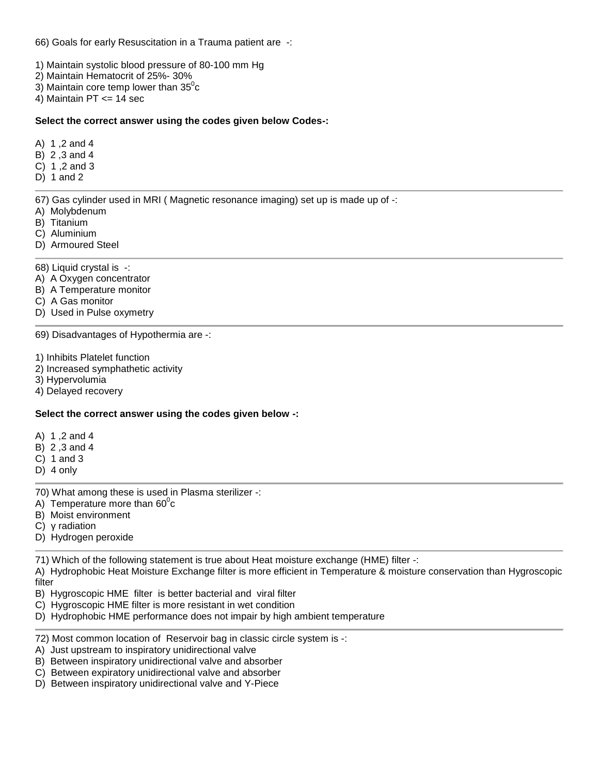66) Goals for early Resuscitation in a Trauma patient are -:

- 1) Maintain systolic blood pressure of 80-100 mm Hg
- 2) Maintain Hematocrit of 25%- 30%
- 3) Maintain core temp lower than  $35^{\circ}$ c
- 4) Maintain PT <= 14 sec

#### **Select the correct answer using the codes given below Codes-:**

- A) 1 ,2 and 4
- B) 2 ,3 and 4
- C) 1 ,2 and 3
- $D$ ) 1 and 2

67) Gas cylinder used in MRI ( Magnetic resonance imaging) set up is made up of -:

- A) Molybdenum
- B) Titanium
- C) Aluminium
- D) Armoured Steel

68) Liquid crystal is -:

- A) A Oxygen concentrator
- B) A Temperature monitor
- C) A Gas monitor
- D) Used in Pulse oxymetry

69) Disadvantages of Hypothermia are -:

1) Inhibits Platelet function

- 2) Increased symphathetic activity
- 3) Hypervolumia
- 4) Delayed recovery

# **Select the correct answer using the codes given below -:**

- A) 1 ,2 and 4
- B) 2 ,3 and 4
- C) 1 and 3
- D) 4 only
- 70) What among these is used in Plasma sterilizer -:
- A) Temperature more than  $60^{\circ}c$
- B) Moist environment
- C) radiation
- D) Hydrogen peroxide

71) Which of the following statement is true about Heat moisture exchange (HME) filter -:

A) Hydrophobic Heat Moisture Exchange filter is more efficient in Temperature & moisture conservation than Hygroscopic filter

- B) Hygroscopic HME filter is better bacterial and viral filter
- C) Hygroscopic HME filter is more resistant in wet condition
- D) Hydrophobic HME performance does not impair by high ambient temperature
- 72) Most common location of Reservoir bag in classic circle system is -:
- A) Just upstream to inspiratory unidirectional valve
- B) Between inspiratory unidirectional valve and absorber
- C) Between expiratory unidirectional valve and absorber
- D) Between inspiratory unidirectional valve and Y-Piece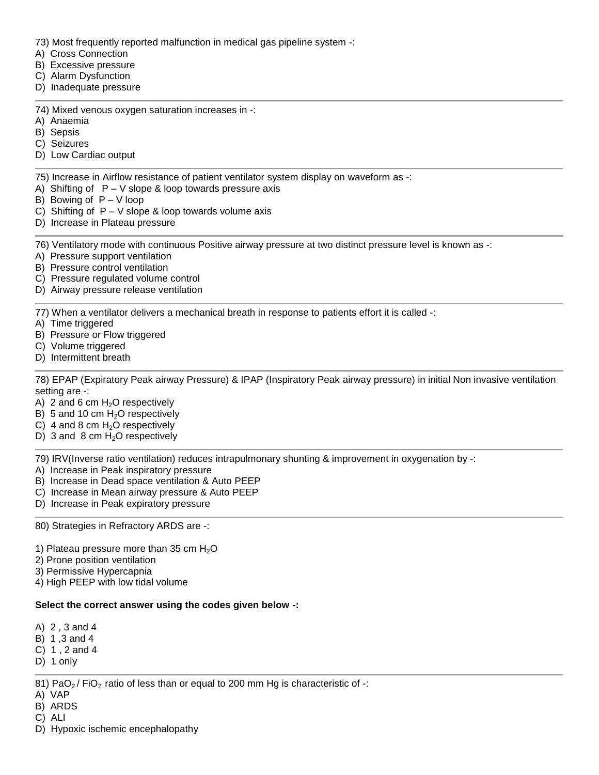73) Most frequently reported malfunction in medical gas pipeline system -:

- A) Cross Connection
- B) Excessive pressure
- C) Alarm Dysfunction
- D) Inadequate pressure
- 74) Mixed venous oxygen saturation increases in -:
- A) Anaemia
- B) Sepsis
- C) Seizures
- D) Low Cardiac output

75) Increase in Airflow resistance of patient ventilator system display on waveform as -:

- A) Shifting of  $P V$  slope & loop towards pressure axis
- B) Bowing of  $P V$  loop
- C) Shifting of  $P V$  slope & loop towards volume axis
- D) Increase in Plateau pressure

76) Ventilatory mode with continuous Positive airway pressure at two distinct pressure level is known as -:

- A) Pressure support ventilation
- B) Pressure control ventilation
- C) Pressure regulated volume control
- D) Airway pressure release ventilation

77) When a ventilator delivers a mechanical breath in response to patients effort it is called -:

- A) Time triggered
- B) Pressure or Flow triggered
- C) Volume triggered
- D) Intermittent breath

78) EPAP (Expiratory Peak airway Pressure) & IPAP (Inspiratory Peak airway pressure) in initial Non invasive ventilation setting are -:

- A) 2 and 6 cm  $H_2O$  respectively
- B) 5 and 10 cm  $H<sub>2</sub>O$  respectively
- C) 4 and 8 cm  $H<sub>2</sub>O$  respectively
- D) 3 and 8 cm  $H<sub>2</sub>O$  respectively

79) IRV(Inverse ratio ventilation) reduces intrapulmonary shunting & improvement in oxygenation by -:

- A) Increase in Peak inspiratory pressure
- B) Increase in Dead space ventilation & Auto PEEP
- C) Increase in Mean airway pressure & Auto PEEP
- D) Increase in Peak expiratory pressure

80) Strategies in Refractory ARDS are -:

- 1) Plateau pressure more than 35 cm  $H<sub>2</sub>O$
- 2) Prone position ventilation
- 3) Permissive Hypercapnia

4) High PEEP with low tidal volume

# **Select the correct answer using the codes given below -:**

- A) 2 , 3 and 4
- B) 1 ,3 and 4
- C) 1 , 2 and 4
- D) 1 only

81) PaO<sub>2</sub> / FiO<sub>2</sub> ratio of less than or equal to 200 mm Hg is characteristic of  $\cdot$ :

- A) VAP
- B) ARDS
- C) ALI
- D) Hypoxic ischemic encephalopathy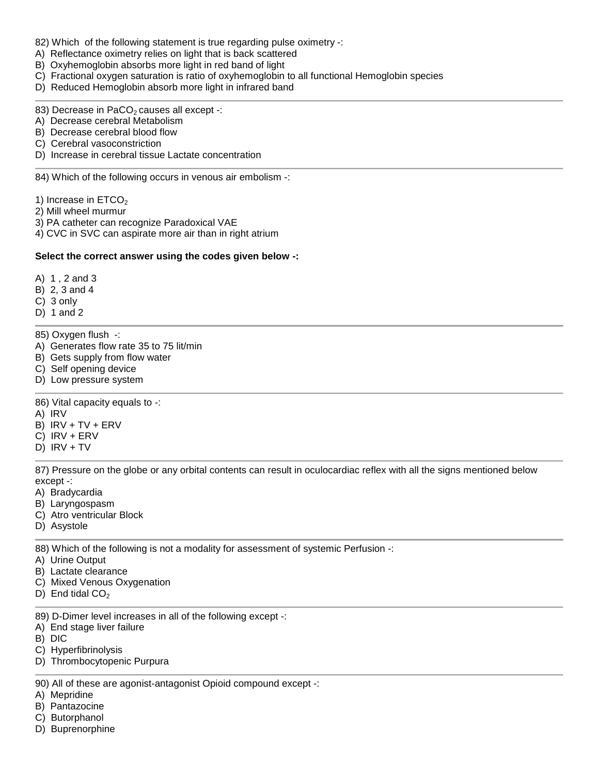- 82) Which of the following statement is true regarding pulse oximetry -:
- A) Reflectance oximetry relies on light that is back scattered
- B) Oxyhemoglobin absorbs more light in red band of light
- C) Fractional oxygen saturation is ratio of oxyhemoglobin to all functional Hemoglobin species
- D) Reduced Hemoglobin absorb more light in infrared band
- 83) Decrease in PaCO<sub>2</sub> causes all except -:
- A) Decrease cerebral Metabolism
- B) Decrease cerebral blood flow
- C) Cerebral vasoconstriction
- D) Increase in cerebral tissue Lactate concentration

84) Which of the following occurs in venous air embolism -:

- 1) Increase in  $ETCO<sub>2</sub>$
- 2) Mill wheel murmur
- 3) PA catheter can recognize Paradoxical VAE
- 4) CVC in SVC can aspirate more air than in right atrium

## **Select the correct answer using the codes given below -:**

- A) 1 , 2 and 3
- B) 2, 3 and 4
- C) 3 only
- D) 1 and 2
- 85) Oxygen flush -:
- A) Generates flow rate 35 to 75 lit/min
- B) Gets supply from flow water
- C) Self opening device
- D) Low pressure system

86) Vital capacity equals to -:

- A) IRV
- B) IRV + TV + ERV
- C) IRV + ERV
- D) IRV + TV

87) Pressure on the globe or any orbital contents can result in oculocardiac reflex with all the signs mentioned below except -:

- A) Bradycardia
- B) Laryngospasm
- C) Atro ventricular Block
- D) Asystole

88) Which of the following is not a modality for assessment of systemic Perfusion -:

- A) Urine Output
- B) Lactate clearance
- C) Mixed Venous Oxygenation
- D) End tidal  $CO<sub>2</sub>$
- 89) D-Dimer level increases in all of the following except -:
- A) End stage liver failure
- B) DIC
- C) Hyperfibrinolysis
- D) Thrombocytopenic Purpura

90) All of these are agonist-antagonist Opioid compound except -:

- A) Mepridine
- B) Pantazocine
- C) Butorphanol
- D) Buprenorphine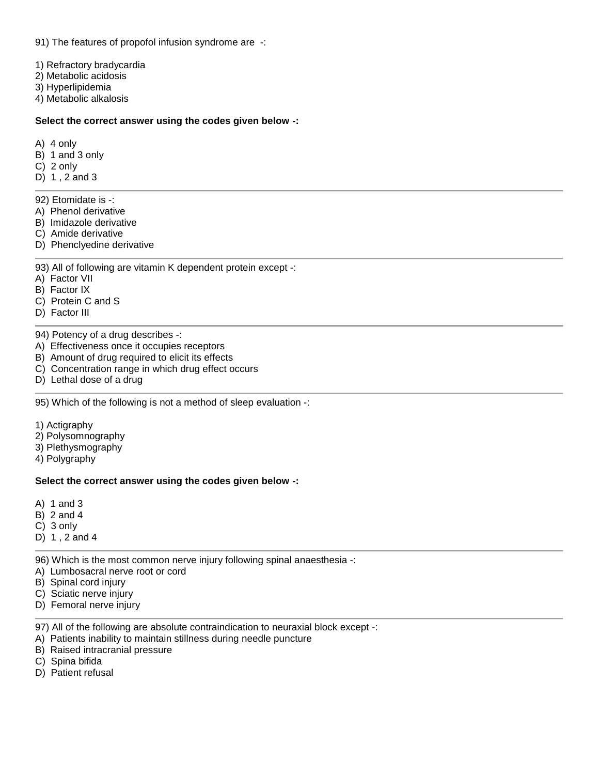91) The features of propofol infusion syndrome are -:

1) Refractory bradycardia

2) Metabolic acidosis

3) Hyperlipidemia

4) Metabolic alkalosis

#### **Select the correct answer using the codes given below -:**

A) 4 only

- B) 1 and 3 only
- C) 2 only
- D) 1 , 2 and 3

92) Etomidate is -:

- A) Phenol derivative
- B) Imidazole derivative
- C) Amide derivative
- D) Phenclyedine derivative

## 93) All of following are vitamin K dependent protein except -:

- A) Factor VII
- B) Factor IX
- C) Protein C and S
- D) Factor III

94) Potency of a drug describes -:

- A) Effectiveness once it occupies receptors
- B) Amount of drug required to elicit its effects
- C) Concentration range in which drug effect occurs
- D) Lethal dose of a drug

95) Which of the following is not a method of sleep evaluation -:

- 1) Actigraphy
- 2) Polysomnography
- 3) Plethysmography
- 4) Polygraphy

#### **Select the correct answer using the codes given below -:**

- A) 1 and 3
- B) 2 and 4
- C) 3 only
- D) 1 , 2 and 4

96) Which is the most common nerve injury following spinal anaesthesia -:

- A) Lumbosacral nerve root or cord
- B) Spinal cord injury
- C) Sciatic nerve injury
- D) Femoral nerve injury

97) All of the following are absolute contraindication to neuraxial block except -:

- A) Patients inability to maintain stillness during needle puncture
- B) Raised intracranial pressure
- C) Spina bifida
- D) Patient refusal